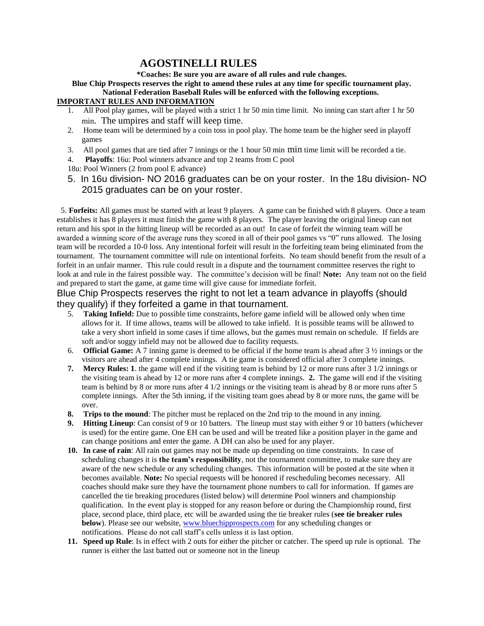## **AGOSTINELLI RULES**

**\*Coaches: Be sure you are aware of all rules and rule changes.**

**Blue Chip Prospects reserves the right to amend these rules at any time for specific tournament play. National Federation Baseball Rules will be enforced with the following exceptions.**

## **IMPORTANT RULES AND INFORMATION**

- 1. All Pool play games, will be played with a strict 1 hr 50 min time limit. No inning can start after 1 hr 50 min. The umpires and staff will keep time.
- 2. Home team will be determined by a coin toss in pool play. The home team be the higher seed in playoff games
- 3. All pool games that are tied after 7 innings or the 1 hour 50 min min time limit will be recorded a tie.
- 4. **Playoffs**: 16u: Pool winners advance and top 2 teams from C pool
- 18u: Pool Winners (2 from pool E advance)
- 5. In 16u division- NO 2016 graduates can be on your roster. In the 18u division- NO 2015 graduates can be on your roster.

 5. **Forfeits:** All games must be started with at least 9 players. A game can be finished with 8 players. Once a team establishes it has 8 players it must finish the game with 8 players. The player leaving the original lineup can not return and his spot in the hitting lineup will be recorded as an out! In case of forfeit the winning team will be awarded a winning score of the average runs they scored in all of their pool games vs "0" runs allowed. The losing team will be recorded a 10-0 loss. Any intentional forfeit will result in the forfeiting team being eliminated from the tournament. The tournament committee will rule on intentional forfeits. No team should benefit from the result of a forfeit in an unfair manner. This rule could result in a dispute and the tournament committee reserves the right to look at and rule in the fairest possible way. The committee's decision will be final! **Note:** Any team not on the field and prepared to start the game, at game time will give cause for immediate forfeit.

## Blue Chip Prospects reserves the right to not let a team advance in playoffs (should they qualify) if they forfeited a game in that tournament.

- 5. **Taking Infield:** Due to possible time constraints, before game infield will be allowed only when time allows for it. If time allows, teams will be allowed to take infield. It is possible teams will be allowed to take a very short infield in some cases if time allows, but the games must remain on schedule. If fields are soft and/or soggy infield may not be allowed due to facility requests.
- 6. **Official Game:** A 7 inning game is deemed to be official if the home team is ahead after 3 ½ innings or the visitors are ahead after 4 complete innings. A tie game is considered official after 3 complete innings.
- **7. Mercy Rules: 1**. the game will end if the visiting team is behind by 12 or more runs after 3 1/2 innings or the visiting team is ahead by 12 or more runs after 4 complete innings. **2.** The game will end if the visiting team is behind by 8 or more runs after 4 1/2 innings or the visiting team is ahead by 8 or more runs after 5 complete innings. After the 5th inning, if the visiting team goes ahead by 8 or more runs, the game will be over.
- **8. Trips to the mound**: The pitcher must be replaced on the 2nd trip to the mound in any inning.
- **9. Hitting Lineup**: Can consist of 9 or 10 batters. The lineup must stay with either 9 or 10 batters (whichever is used) for the entire game. One EH can be used and will be treated like a position player in the game and can change positions and enter the game. A DH can also be used for any player.
- **10. In case of rain**: All rain out games may not be made up depending on time constraints. In case of scheduling changes it is **the team's responsibility**, not the tournament committee, to make sure they are aware of the new schedule or any scheduling changes. This information will be posted at the site when it becomes available. **Note:** No special requests will be honored if rescheduling becomes necessary. All coaches should make sure they have the tournament phone numbers to call for information. If games are cancelled the tie breaking procedures (listed below) will determine Pool winners and championship qualification. In the event play is stopped for any reason before or during the Championship round, first place, second place, third place, etc will be awarded using the tie breaker rules (**see tie breaker rules below**). Please see our website, [www.bluechipprospects.com](http://www.bluechipprospects.com/) for any scheduling changes or notifications. Please do not call staff's cells unless it is last option.
- **11. Speed up Rule**: Is in effect with 2 outs for either the pitcher or catcher. The speed up rule is optional. The runner is either the last batted out or someone not in the lineup